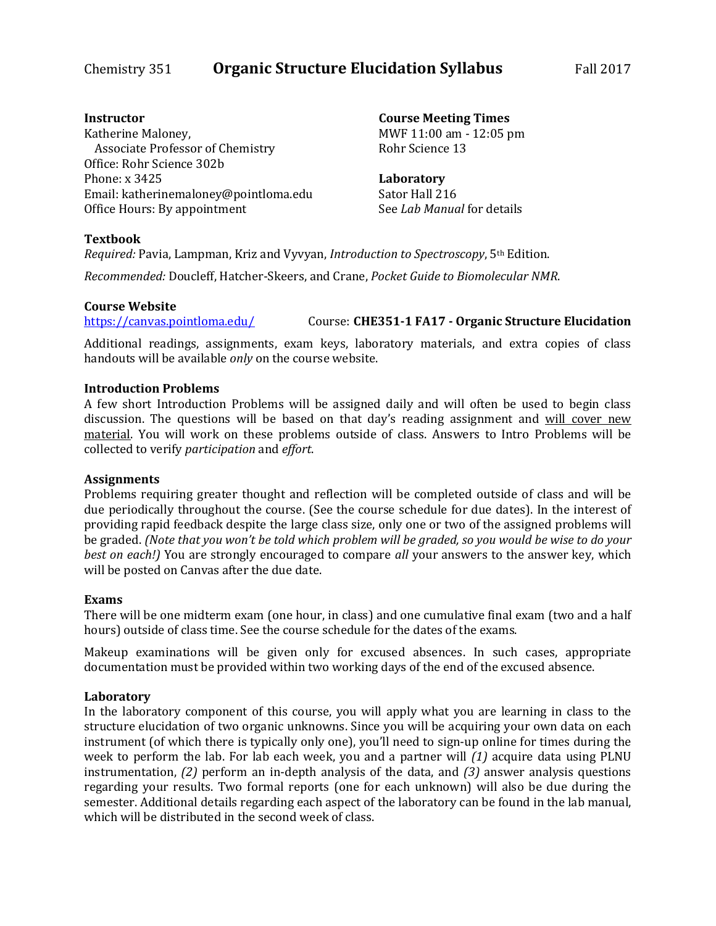# Chemistry 351 **Organic Structure Elucidation Syllabus** Fall 2017

# **Instructor**

Katherine Maloney, Associate Professor of Chemistry Office: Rohr Science 302b Phone: x 3425 Email: katherinemaloney@pointloma.edu Office Hours: By appointment

**Course Meeting Times** MWF 11:00 am - 12:05 pm Rohr Science 13

**Laboratory** Sator Hall 216 See *Lab Manual* for details

# **Textbook**

*Required:* Pavia, Lampman, Kriz and Vyvyan, *Introduction to Spectroscopy*, 5th Edition.

*Recommended:* Doucleff, Hatcher-Skeers, and Crane, *Pocket Guide to Biomolecular NMR*.

# **Course Website**

<https://canvas.pointloma.edu/> Course: **CHE351-1 FA17 - Organic Structure Elucidation**

Additional readings, assignments, exam keys, laboratory materials, and extra copies of class handouts will be available *only* on the course website.

# **Introduction Problems**

A few short Introduction Problems will be assigned daily and will often be used to begin class discussion. The questions will be based on that day's reading assignment and will cover new material. You will work on these problems outside of class. Answers to Intro Problems will be collected to verify *participation* and *effort*.

# **Assignments**

Problems requiring greater thought and reflection will be completed outside of class and will be due periodically throughout the course. (See the course schedule for due dates). In the interest of providing rapid feedback despite the large class size, only one or two of the assigned problems will be graded. *(Note that you won't be told which problem will be graded, so you would be wise to do your best on each!)* You are strongly encouraged to compare *all* your answers to the answer key, which will be posted on Canvas after the due date.

# **Exams**

There will be one midterm exam (one hour, in class) and one cumulative final exam (two and a half hours) outside of class time. See the course schedule for the dates of the exams.

Makeup examinations will be given only for excused absences. In such cases, appropriate documentation must be provided within two working days of the end of the excused absence.

# **Laboratory**

In the laboratory component of this course, you will apply what you are learning in class to the structure elucidation of two organic unknowns. Since you will be acquiring your own data on each instrument (of which there is typically only one), you'll need to sign-up online for times during the week to perform the lab. For lab each week, you and a partner will *(1)* acquire data using PLNU instrumentation, *(2)* perform an in-depth analysis of the data, and *(3)* answer analysis questions regarding your results. Two formal reports (one for each unknown) will also be due during the semester. Additional details regarding each aspect of the laboratory can be found in the lab manual, which will be distributed in the second week of class.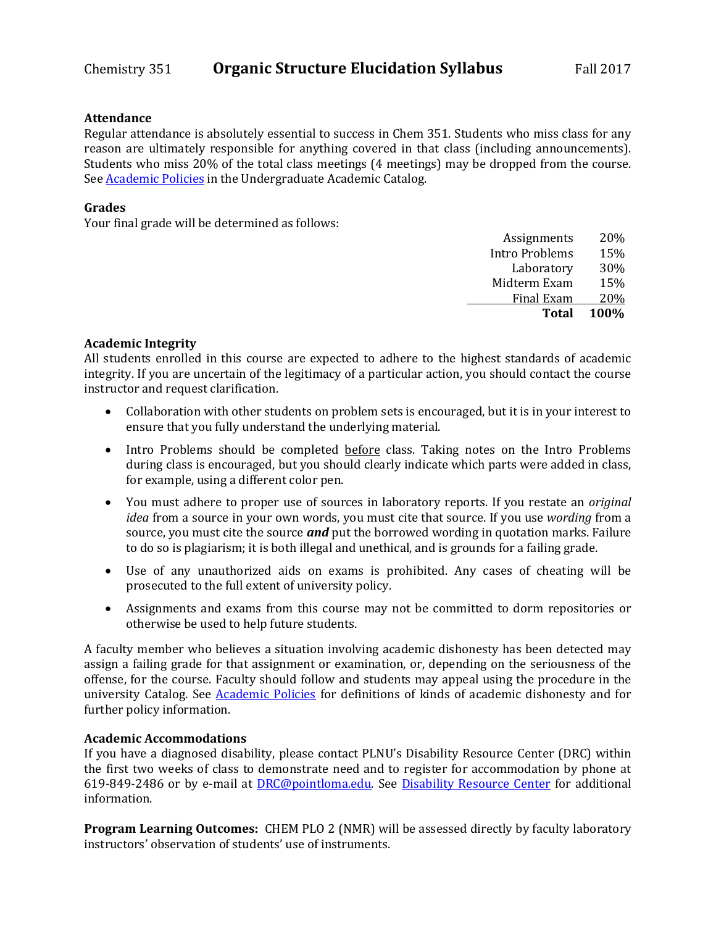## **Attendance**

Regular attendance is absolutely essential to success in Chem 351. Students who miss class for any reason are ultimately responsible for anything covered in that class (including announcements). Students who miss 20% of the total class meetings (4 meetings) may be dropped from the course. Se[e Academic Policies](http://catalog.pointloma.edu/content.php?catoid=18&navoid=1278) in the Undergraduate Academic Catalog.

# **Grades**

Your final grade will be determined as follows:

| <b>Total</b>          | 100% |
|-----------------------|------|
| Final Exam            | 20%  |
| Midterm Exam          | 15%  |
| Laboratory            | 30%  |
| <b>Intro Problems</b> | 15%  |
| Assignments           | 20\% |
|                       |      |

## **Academic Integrity**

All students enrolled in this course are expected to adhere to the highest standards of academic integrity. If you are uncertain of the legitimacy of a particular action, you should contact the course instructor and request clarification.

- Collaboration with other students on problem sets is encouraged, but it is in your interest to ensure that you fully understand the underlying material.
- Intro Problems should be completed before class. Taking notes on the Intro Problems during class is encouraged, but you should clearly indicate which parts were added in class, for example, using a different color pen.
- You must adhere to proper use of sources in laboratory reports. If you restate an *original idea* from a source in your own words, you must cite that source. If you use *wording* from a source, you must cite the source *and* put the borrowed wording in quotation marks. Failure to do so is plagiarism; it is both illegal and unethical, and is grounds for a failing grade.
- Use of any unauthorized aids on exams is prohibited. Any cases of cheating will be prosecuted to the full extent of university policy.
- Assignments and exams from this course may not be committed to dorm repositories or otherwise be used to help future students.

A faculty member who believes a situation involving academic dishonesty has been detected may assign a failing grade for that assignment or examination, or, depending on the seriousness of the offense, for the course. Faculty should follow and students may appeal using the procedure in the university Catalog. See **Academic Policies** for definitions of kinds of academic dishonesty and for further policy information.

#### **Academic Accommodations**

If you have a diagnosed disability, please contact PLNU's Disability Resource Center (DRC) within the first two weeks of class to demonstrate need and to register for accommodation by phone at 619-849-2486 or by e-mail at **DRC@pointloma.edu**. See **Disability Resource Center** for additional information.

**Program Learning Outcomes:** CHEM PLO 2 (NMR) will be assessed directly by faculty laboratory instructors' observation of students' use of instruments.